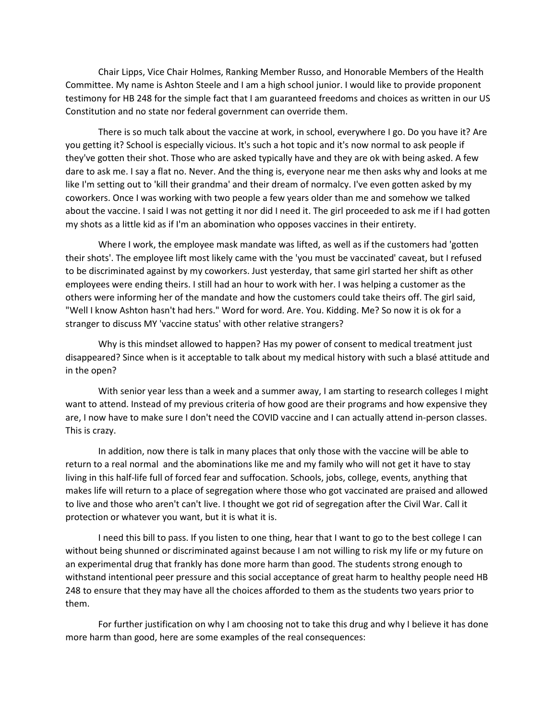Chair Lipps, Vice Chair Holmes, Ranking Member Russo, and Honorable Members of the Health Committee. My name is Ashton Steele and I am a high school junior. I would like to provide proponent testimony for HB 248 for the simple fact that I am guaranteed freedoms and choices as written in our US Constitution and no state nor federal government can override them.

There is so much talk about the vaccine at work, in school, everywhere I go. Do you have it? Are you getting it? School is especially vicious. It's such a hot topic and it's now normal to ask people if they've gotten their shot. Those who are asked typically have and they are ok with being asked. A few dare to ask me. I say a flat no. Never. And the thing is, everyone near me then asks why and looks at me like I'm setting out to 'kill their grandma' and their dream of normalcy. I've even gotten asked by my coworkers. Once I was working with two people a few years older than me and somehow we talked about the vaccine. I said I was not getting it nor did I need it. The girl proceeded to ask me if I had gotten my shots as a little kid as if I'm an abomination who opposes vaccines in their entirety.

Where I work, the employee mask mandate was lifted, as well as if the customers had 'gotten their shots'. The employee lift most likely came with the 'you must be vaccinated' caveat, but I refused to be discriminated against by my coworkers. Just yesterday, that same girl started her shift as other employees were ending theirs. I still had an hour to work with her. I was helping a customer as the others were informing her of the mandate and how the customers could take theirs off. The girl said, "Well I know Ashton hasn't had hers." Word for word. Are. You. Kidding. Me? So now it is ok for a stranger to discuss MY 'vaccine status' with other relative strangers?

Why is this mindset allowed to happen? Has my power of consent to medical treatment just disappeared? Since when is it acceptable to talk about my medical history with such a blasé attitude and in the open?

With senior year less than a week and a summer away, I am starting to research colleges I might want to attend. Instead of my previous criteria of how good are their programs and how expensive they are, I now have to make sure I don't need the COVID vaccine and I can actually attend in-person classes. This is crazy.

In addition, now there is talk in many places that only those with the vaccine will be able to return to a real normal and the abominations like me and my family who will not get it have to stay living in this half-life full of forced fear and suffocation. Schools, jobs, college, events, anything that makes life will return to a place of segregation where those who got vaccinated are praised and allowed to live and those who aren't can't live. I thought we got rid of segregation after the Civil War. Call it protection or whatever you want, but it is what it is.

I need this bill to pass. If you listen to one thing, hear that I want to go to the best college I can without being shunned or discriminated against because I am not willing to risk my life or my future on an experimental drug that frankly has done more harm than good. The students strong enough to withstand intentional peer pressure and this social acceptance of great harm to healthy people need HB 248 to ensure that they may have all the choices afforded to them as the students two years prior to them.

For further justification on why I am choosing not to take this drug and why I believe it has done more harm than good, here are some examples of the real consequences: